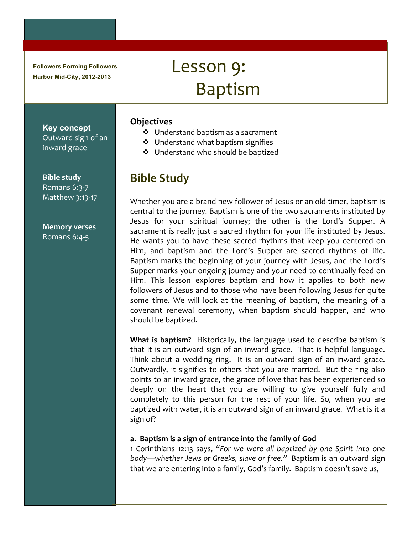**Followers Forming Followers Harbor Mid-City, 2012-2013**

# Lesson 9: Baptism

## **Objectives**

- $\clubsuit$  Understand baptism as a sacrament
- $\div$  Understand what baptism signifies
- ❖ Understand who should be baptized

# **Bible Study**

Whether you are a brand new follower of Jesus or an old-timer, baptism is central to the journey. Baptism is one of the two sacraments instituted by Jesus for your spiritual journey; the other is the Lord's Supper. A sacrament is really just a sacred rhythm for your life instituted by Jesus. He wants you to have these sacred rhythms that keep you centered on Him, and baptism and the Lord's Supper are sacred rhythms of life. Baptism marks the beginning of your journey with Jesus, and the Lord's Supper marks your ongoing journey and your need to continually feed on Him. This lesson explores baptism and how it applies to both new followers of Jesus and to those who have been following Jesus for quite some time. We will look at the meaning of baptism, the meaning of a covenant renewal ceremony, when baptism should happen, and who should be baptized.

**What is baptism?** Historically, the language used to describe baptism is that it is an outward sign of an inward grace. That is helpful language. Think about a wedding ring. It is an outward sign of an inward grace. Outwardly, it signifies to others that you are married. But the ring also points to an inward grace, the grace of love that has been experienced so deeply on the heart that you are willing to give yourself fully and completely to this person for the rest of your life. So, when you are baptized with water, it is an outward sign of an inward grace. What is it a sign of?

#### a. Baptism is a sign of entrance into the family of God

1 Corinthians 12:13 says, "For we were all baptized by one Spirit into one body—whether Jews or Greeks, slave or free." Baptism is an outward sign that we are entering into a family, God's family. Baptism doesn't save us,

#### **Key concept** Outward sign of an inward grace

**Bible study** Romans 6:3-7 Matthew 3:13-17

#### **Memory!verses** Romans 6:4-5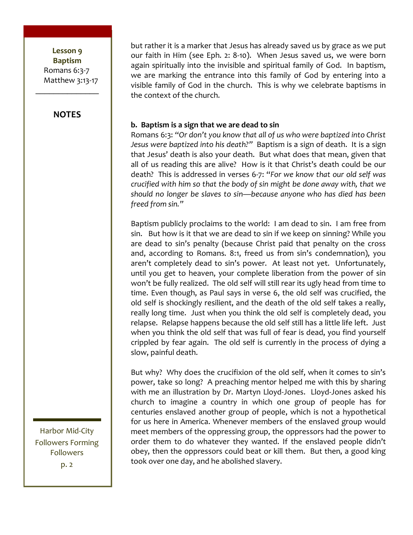Lesson 9 **Baptism** Romans  $6:3-7$ Matthew 3:13-17

#### **NOTES**

 $\frac{1}{2}$ 

but rather it is a marker that Jesus has already saved us by grace as we put our faith in Him (see Eph. 2: 8-10). When Jesus saved us, we were born again spiritually into the invisible and spiritual family of God. In baptism, we are marking the entrance into this family of God by entering into a visible family of God in the church. This is why we celebrate baptisms in the context of the church.

#### **b. Baptism is a sign that we are dead to sin**

Romans 6:3: "Or don't you know that all of us who were baptized into Christ *Jesus were baptized into his death?"* Baptism is a sign of death. It is a sign that Jesus' death is also your death. But what does that mean, given that all of us reading this are alive? How is it that Christ's death could be our death? This is addressed in verses 6-7: "For we know that our old self was *crucified with him so that the body of sin might be done away with, that we* should no longer be slaves to sin—because anyone who has died has been *freed from sin."* 

Baptism publicly proclaims to the world: I am dead to sin. I am free from sin. But how is it that we are dead to sin if we keep on sinning? While you are dead to sin's penalty (because Christ paid that penalty on the cross) and, according to Romans. 8:1, freed us from sin's condemnation), you aren't completely dead to sin's power. At least not yet. Unfortunately, until you get to heaven, your complete liberation from the power of sin won't be fully realized. The old self will still rear its ugly head from time to time. Even though, as Paul says in verse 6, the old self was crucified, the old self is shockingly resilient, and the death of the old self takes a really, really long time. Just when you think the old self is completely dead, you relapse. Relapse happens because the old self still has a little life left. Just when you think the old self that was full of fear is dead, you find yourself crippled by fear again. The old self is currently in the process of dying a slow, painful death.

But why? Why does the crucifixion of the old self, when it comes to sin's power, take so long? A preaching mentor helped me with this by sharing with me an illustration by Dr. Martyn Lloyd-Jones. Lloyd-Jones asked his church to imagine a country in which one group of people has for centuries enslaved another group of people, which is not a hypothetical for us here in America. Whenever members of the enslaved group would meet members of the oppressing group, the oppressors had the power to order them to do whatever they wanted. If the enslaved people didn't obey, then the oppressors could beat or kill them. But then, a good king took over one day, and he abolished slavery.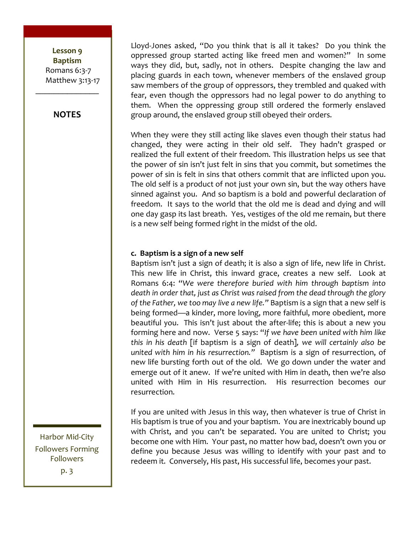Lesson 9 **Baptism!** Romans 6:3-7 Matthew 3:13-17

#### **NOTES**

 $\frac{1}{2}$ 

Lloyd-Jones asked, "Do you think that is all it takes? Do you think the oppressed group started acting like freed men and women?" In some ways they did, but, sadly, not in others. Despite changing the law and placing guards in each town, whenever members of the enslaved group saw members of the group of oppressors, they trembled and quaked with fear, even though the oppressors had no legal power to do anything to them. When the oppressing group still ordered the formerly enslaved group around, the enslaved group still obeyed their orders.

When they were they still acting like slaves even though their status had changed, they were acting in their old self. They hadn't grasped or realized the full extent of their freedom. This illustration helps us see that the power of sin isn't just felt in sins that you commit, but sometimes the power of sin is felt in sins that others commit that are inflicted upon you. The old self is a product of not just your own sin, but the way others have sinned against you. And so baptism is a bold and powerful declaration of freedom. It says to the world that the old me is dead and dying and will one day gasp its last breath. Yes, vestiges of the old me remain, but there is a new self being formed right in the midst of the old.

#### **c. Baptism is a sign of a new self**

Baptism isn't just a sign of death; it is also a sign of life, new life in Christ. This new life in Christ, this inward grace, creates a new self. Look at Romans 6:4: "We were therefore buried with him through baptism into death in order that, just as Christ was raised from the dead through the glory of the Father, we too may live a new life." Baptism is a sign that a new self is being formed—a kinder, more loving, more faithful, more obedient, more beautiful you. This isn't just about the after-life; this is about a new you forming here and now. Verse 5 says: "If we have been united with him like this in his death [if baptism is a sign of death], we will certainly also be *united with him in his resurrection."* Baptism is a sign of resurrection, of new life bursting forth out of the old. We go down under the water and emerge out of it anew. If we're united with Him in death, then we're also united with Him in His resurrection. His resurrection becomes our resurrection.

If you are united with Jesus in this way, then whatever is true of Christ in His baptism is true of you and your baptism. You are inextricably bound up with Christ, and you can't be separated. You are united to Christ; you become one with Him. Your past, no matter how bad, doesn't own you or define you because Jesus was willing to identify with your past and to redeem it. Conversely, His past, His successful life, becomes your past.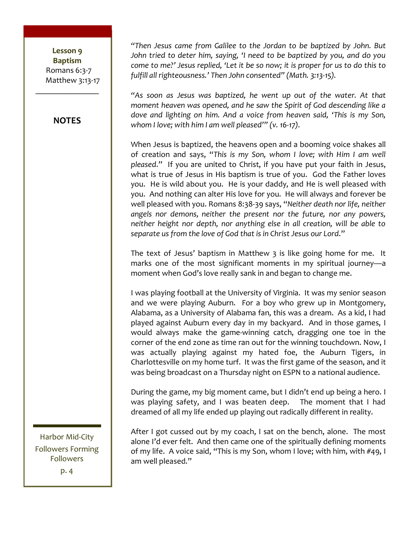#### Lesson 9 **Baptism!** Romans 6:3-7 Matthew 3:13-17

#### **NOTES**

 $\frac{1}{2}$ 

*"Then Jesus came from Galilee to the Jordan to be baptized by John. But* John tried to deter him, saying, 'I need to be baptized by you, and do you *come to me?' Jesus replied, 'Let it be so now; it is proper for us to do this to* fulfill all righteousness.' Then John consented" (Math. 3:13-15).

"As soon as Jesus was baptized, he went up out of the water. At that moment heaven was opened, and he saw the Spirit of God descending like a *dove and lighting on him. And a voice from heaven said, 'This is my Son, whom I love; with him I am well pleased'" (v. 16-17).* 

When Jesus is baptized, the heavens open and a booming voice shakes all of creation and says, "This is my Son, whom I love; with Him I am well pleased." If you are united to Christ, if you have put your faith in Jesus, what is true of Jesus in His baptism is true of you. God the Father loves you. He is wild about you. He is your daddy, and He is well pleased with you. And nothing can alter His love for you. He will always and forever be well pleased with you. Romans 8:38-39 says, "Neither death nor life, neither angels nor demons, neither the present nor the future, nor any powers, neither height nor depth, nor anything else in all creation, will be able to separate us from the love of God that is in Christ Jesus our Lord."

The text of Jesus' baptism in Matthew  $3$  is like going home for me. It marks one of the most significant moments in my spiritual journey—a moment when God's love really sank in and began to change me.

I was playing football at the University of Virginia. It was my senior season and we were playing Auburn. For a boy who grew up in Montgomery, Alabama, as a University of Alabama fan, this was a dream. As a kid, I had played against Auburn every day in my backyard. And in those games, I would always make the game-winning catch, dragging one toe in the corner of the end zone as time ran out for the winning touchdown. Now, I was actually playing against my hated foe, the Auburn Tigers, in Charlottesville on my home turf. It was the first game of the season, and it was being broadcast on a Thursday night on ESPN to a national audience.

During the game, my big moment came, but I didn't end up being a hero. I was playing safety, and I was beaten deep. The moment that I had dreamed of all my life ended up playing out radically different in reality.

After I got cussed out by my coach, I sat on the bench, alone. The most alone I'd ever felt. And then came one of the spiritually defining moments of my life. A voice said, "This is my Son, whom I love; with him, with #49, I am well pleased."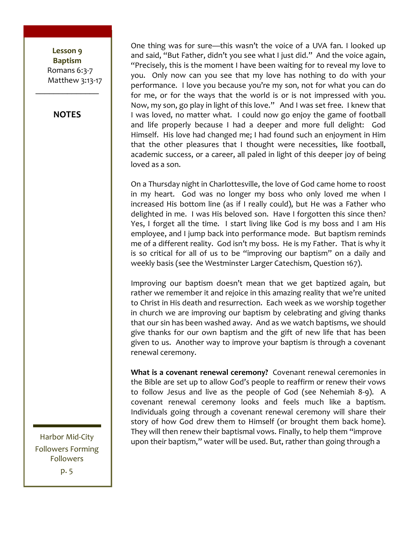#### Lesson 9 **Baptism** Romans 6:3-7 Matthew 3:13-17

**NOTES**

 $\frac{1}{2}$ 

One thing was for sure—this wasn't the voice of a UVA fan. I looked up and said, "But Father, didn't you see what I just did." And the voice again, "Precisely, this is the moment I have been waiting for to reveal my love to you. Only now can you see that my love has nothing to do with your performance. I love you because you're my son, not for what you can do for me, or for the ways that the world is or is not impressed with you. Now, my son, go play in light of this love." And I was set free. I knew that I was loved, no matter what. I could now go enjoy the game of football and life properly because I had a deeper and more full delight: God Himself. His love had changed me; I had found such an enjoyment in Him that the other pleasures that I thought were necessities, like football, academic success, or a career, all paled in light of this deeper joy of being loved as a son.

On a Thursday night in Charlottesville, the love of God came home to roost in my heart. God was no longer my boss who only loved me when I increased His bottom line (as if I really could), but He was a Father who delighted in me. I was His beloved son. Have I forgotten this since then? Yes, I forget all the time. I start living like God is my boss and I am His employee, and I jump back into performance mode. But baptism reminds me of a different reality. God isn't my boss. He is my Father. That is why it is so critical for all of us to be "improving our baptism" on a daily and weekly basis (see the Westminster Larger Catechism, Question 167).

Improving our baptism doesn't mean that we get baptized again, but rather we remember it and rejoice in this amazing reality that we're united to Christ in His death and resurrection. Each week as we worship together in church we are improving our baptism by celebrating and giving thanks that our sin has been washed away. And as we watch baptisms, we should give thanks for our own baptism and the gift of new life that has been given to us. Another way to improve your baptism is through a covenant renewal ceremony.

**What is a covenant renewal ceremony?** Covenant renewal ceremonies in the Bible are set up to allow God's people to reaffirm or renew their vows to follow Jesus and live as the people of God (see Nehemiah 8-9). A covenant renewal ceremony looks and feels much like a baptism. Individuals going through a covenant renewal ceremony will share their story of how God drew them to Himself (or brought them back home). They will then renew their baptismal vows. Finally, to help them "improve upon their baptism," water will be used. But, rather than going through a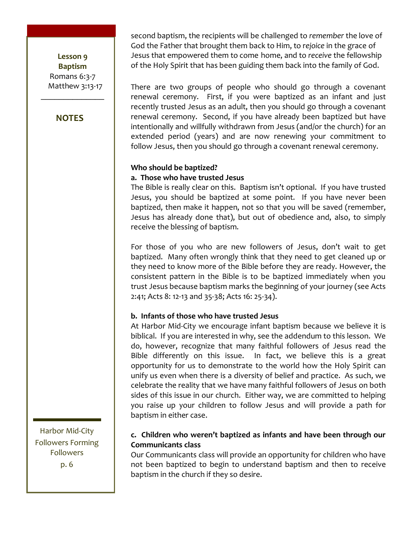#### Lesson 9 **Baptism** Romans  $6:3-7$ Matthew 3:13-17

 $\frac{1}{2}$ 

#### **NOTES**

second baptism, the recipients will be challenged to *remember* the love of God the Father that brought them back to Him, to rejoice in the grace of Jesus that empowered them to come home, and to receive the fellowship of the Holy Spirit that has been guiding them back into the family of God.

There are two groups of people who should go through a covenant renewal ceremony. First, if you were baptized as an infant and just recently trusted Jesus as an adult, then you should go through a covenant renewal ceremony. Second, if you have already been baptized but have intentionally and willfully withdrawn from Jesus (and/or the church) for an extended period (years) and are now renewing your commitment to follow Jesus, then you should go through a covenant renewal ceremony.

#### Who should be baptized?

#### **a.!!Those!who!have!trusted!Jesus**

The Bible is really clear on this. Baptism isn't optional. If you have trusted Jesus, you should be baptized at some point. If you have never been baptized, then make it happen, not so that you will be saved (remember, Jesus has already done that), but out of obedience and, also, to simply receive the blessing of baptism.

For those of you who are new followers of Jesus, don't wait to get baptized. Many often wrongly think that they need to get cleaned up or they need to know more of the Bible before they are ready. However, the consistent pattern in the Bible is to be baptized immediately when you trust Jesus because baptism marks the beginning of your journey (see Acts) 2:41; Acts 8: 12-13 and 35-38; Acts 16: 25-34).

#### **b.!!Infants!of!those!who!have!trusted!Jesus**

At Harbor Mid-City we encourage infant baptism because we believe it is biblical. If you are interested in why, see the addendum to this lesson. We do, however, recognize that many faithful followers of Jesus read the Bible differently on this issue. In fact, we believe this is a great opportunity for us to demonstrate to the world how the Holy Spirit can unify us even when there is a diversity of belief and practice. As such, we celebrate the reality that we have many faithful followers of Jesus on both sides of this issue in our church. Either way, we are committed to helping you raise up your children to follow Jesus and will provide a path for baptism in either case.

#### **c.!!Children!who!weren't!baptized!as!infants!and!have!been!through!our! Communicants!class**

Our Communicants class will provide an opportunity for children who have not been baptized to begin to understand baptism and then to receive baptism in the church if they so desire.